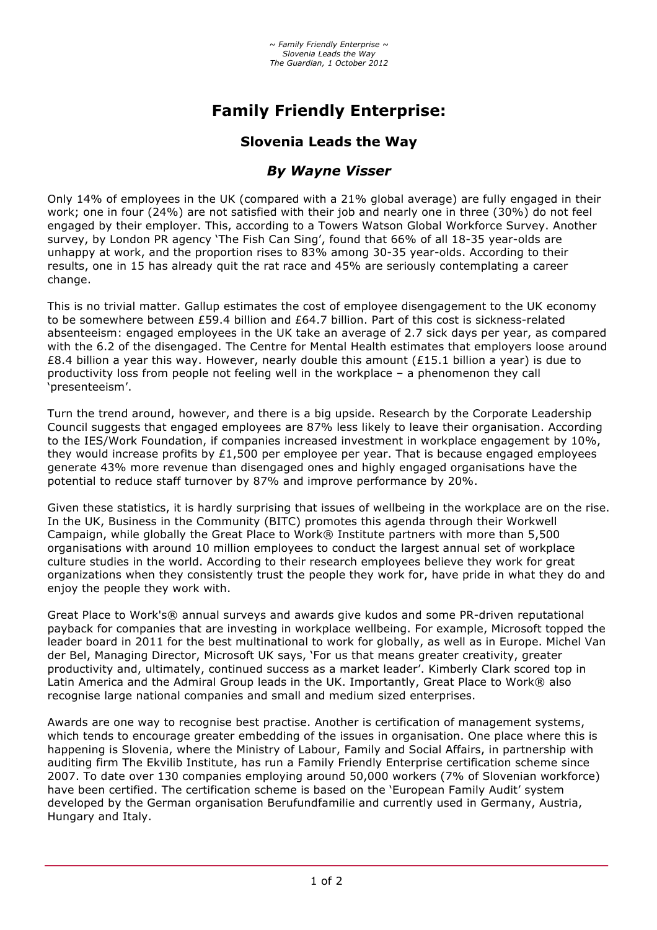# **Family Friendly Enterprise:**

## **Slovenia Leads the Way**

## *By Wayne Visser*

Only 14% of employees in the UK (compared with a 21% global average) are fully engaged in their work; one in four (24%) are not satisfied with their job and nearly one in three (30%) do not feel engaged by their employer. This, according to a Towers Watson Global Workforce Survey. Another survey, by London PR agency 'The Fish Can Sing', found that 66% of all 18-35 year-olds are unhappy at work, and the proportion rises to 83% among 30-35 year-olds. According to their results, one in 15 has already quit the rat race and 45% are seriously contemplating a career change.

This is no trivial matter. Gallup estimates the cost of employee disengagement to the UK economy to be somewhere between £59.4 billion and £64.7 billion. Part of this cost is sickness-related absenteeism: engaged employees in the UK take an average of 2.7 sick days per year, as compared with the 6.2 of the disengaged. The Centre for Mental Health estimates that employers loose around £8.4 billion a year this way. However, nearly double this amount (£15.1 billion a year) is due to productivity loss from people not feeling well in the workplace – a phenomenon they call 'presenteeism'.

Turn the trend around, however, and there is a big upside. Research by the Corporate Leadership Council suggests that engaged employees are 87% less likely to leave their organisation. According to the IES/Work Foundation, if companies increased investment in workplace engagement by 10%, they would increase profits by  $£1,500$  per employee per year. That is because engaged employees generate 43% more revenue than disengaged ones and highly engaged organisations have the potential to reduce staff turnover by 87% and improve performance by 20%.

Given these statistics, it is hardly surprising that issues of wellbeing in the workplace are on the rise. In the UK, Business in the Community (BITC) promotes this agenda through their Workwell Campaign, while globally the Great Place to Work® Institute partners with more than 5,500 organisations with around 10 million employees to conduct the largest annual set of workplace culture studies in the world. According to their research employees believe they work for great organizations when they consistently trust the people they work for, have pride in what they do and enjoy the people they work with.

Great Place to Work's® annual surveys and awards give kudos and some PR-driven reputational payback for companies that are investing in workplace wellbeing. For example, Microsoft topped the leader board in 2011 for the best multinational to work for globally, as well as in Europe. Michel Van der Bel, Managing Director, Microsoft UK says, 'For us that means greater creativity, greater productivity and, ultimately, continued success as a market leader'. Kimberly Clark scored top in Latin America and the Admiral Group leads in the UK. Importantly, Great Place to Work® also recognise large national companies and small and medium sized enterprises.

Awards are one way to recognise best practise. Another is certification of management systems, which tends to encourage greater embedding of the issues in organisation. One place where this is happening is Slovenia, where the Ministry of Labour, Family and Social Affairs, in partnership with auditing firm The Ekvilib Institute, has run a Family Friendly Enterprise certification scheme since 2007. To date over 130 companies employing around 50,000 workers (7% of Slovenian workforce) have been certified. The certification scheme is based on the 'European Family Audit' system developed by the German organisation Berufundfamilie and currently used in Germany, Austria, Hungary and Italy.